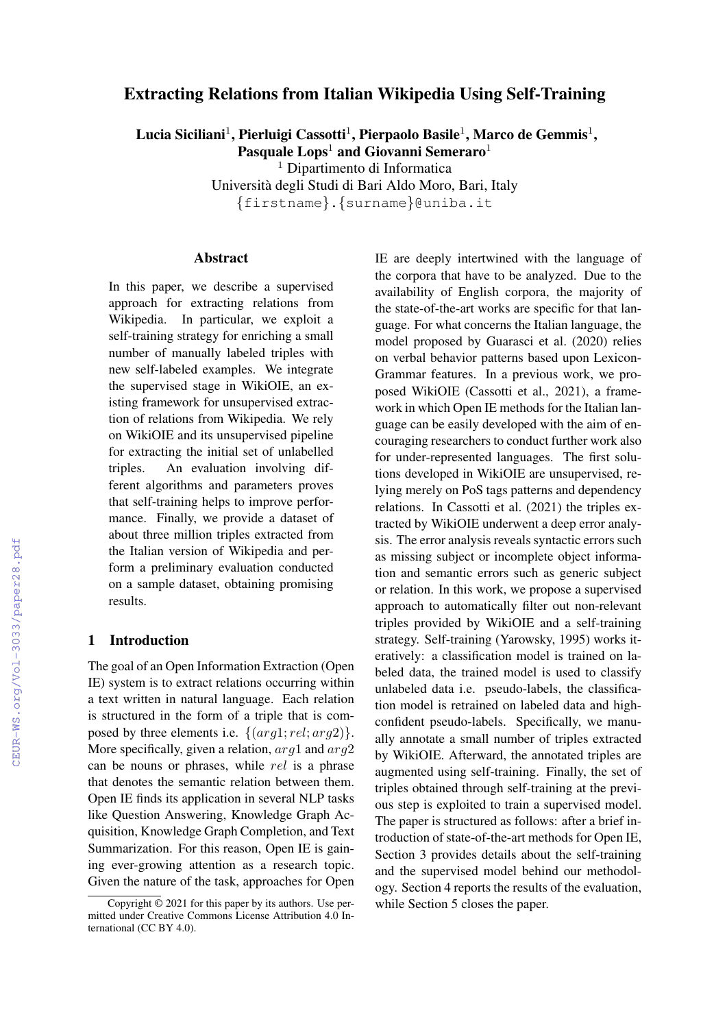# Extracting Relations from Italian Wikipedia Using Self-Training

Lucia Siciliani $^1$ , Pierluigi Cassotti $^1$ , Pierpaolo Basile $^1$ , Marco de Gemmis $^1,$ Pasquale  $Long<sup>1</sup>$  and Giovanni Semeraro<sup>1</sup>

<sup>1</sup> Dipartimento di Informatica

Universita degli Studi di Bari Aldo Moro, Bari, Italy `

{firstname}.{surname}@uniba.it

## Abstract

In this paper, we describe a supervised approach for extracting relations from Wikipedia. In particular, we exploit a self-training strategy for enriching a small number of manually labeled triples with new self-labeled examples. We integrate the supervised stage in WikiOIE, an existing framework for unsupervised extraction of relations from Wikipedia. We rely on WikiOIE and its unsupervised pipeline for extracting the initial set of unlabelled triples. An evaluation involving different algorithms and parameters proves that self-training helps to improve performance. Finally, we provide a dataset of about three million triples extracted from the Italian version of Wikipedia and perform a preliminary evaluation conducted on a sample dataset, obtaining promising results.

#### 1 Introduction

The goal of an Open Information Extraction (Open IE) system is to extract relations occurring within a text written in natural language. Each relation is structured in the form of a triple that is composed by three elements i.e.  $\{(arg1; rel; arg2)\}.$ More specifically, given a relation,  $arg1$  and  $arg2$ can be nouns or phrases, while rel is a phrase that denotes the semantic relation between them. Open IE finds its application in several NLP tasks like Question Answering, Knowledge Graph Acquisition, Knowledge Graph Completion, and Text Summarization. For this reason, Open IE is gaining ever-growing attention as a research topic. Given the nature of the task, approaches for Open IE are deeply intertwined with the language of the corpora that have to be analyzed. Due to the availability of English corpora, the majority of the state-of-the-art works are specific for that language. For what concerns the Italian language, the model proposed by Guarasci et al. (2020) relies on verbal behavior patterns based upon Lexicon-Grammar features. In a previous work, we proposed WikiOIE (Cassotti et al., 2021), a framework in which Open IE methods for the Italian language can be easily developed with the aim of encouraging researchers to conduct further work also for under-represented languages. The first solutions developed in WikiOIE are unsupervised, relying merely on PoS tags patterns and dependency relations. In Cassotti et al. (2021) the triples extracted by WikiOIE underwent a deep error analysis. The error analysis reveals syntactic errors such as missing subject or incomplete object information and semantic errors such as generic subject or relation. In this work, we propose a supervised approach to automatically filter out non-relevant triples provided by WikiOIE and a self-training strategy. Self-training (Yarowsky, 1995) works iteratively: a classification model is trained on labeled data, the trained model is used to classify unlabeled data i.e. pseudo-labels, the classification model is retrained on labeled data and highconfident pseudo-labels. Specifically, we manually annotate a small number of triples extracted by WikiOIE. Afterward, the annotated triples are augmented using self-training. Finally, the set of triples obtained through self-training at the previous step is exploited to train a supervised model. The paper is structured as follows: after a brief introduction of state-of-the-art methods for Open IE, Section 3 provides details about the self-training and the supervised model behind our methodology. Section 4 reports the results of the evaluation, while Section 5 closes the paper.

Copyright © 2021 for this paper by its authors. Use permitted under Creative Commons License Attribution 4.0 International (CC BY 4.0).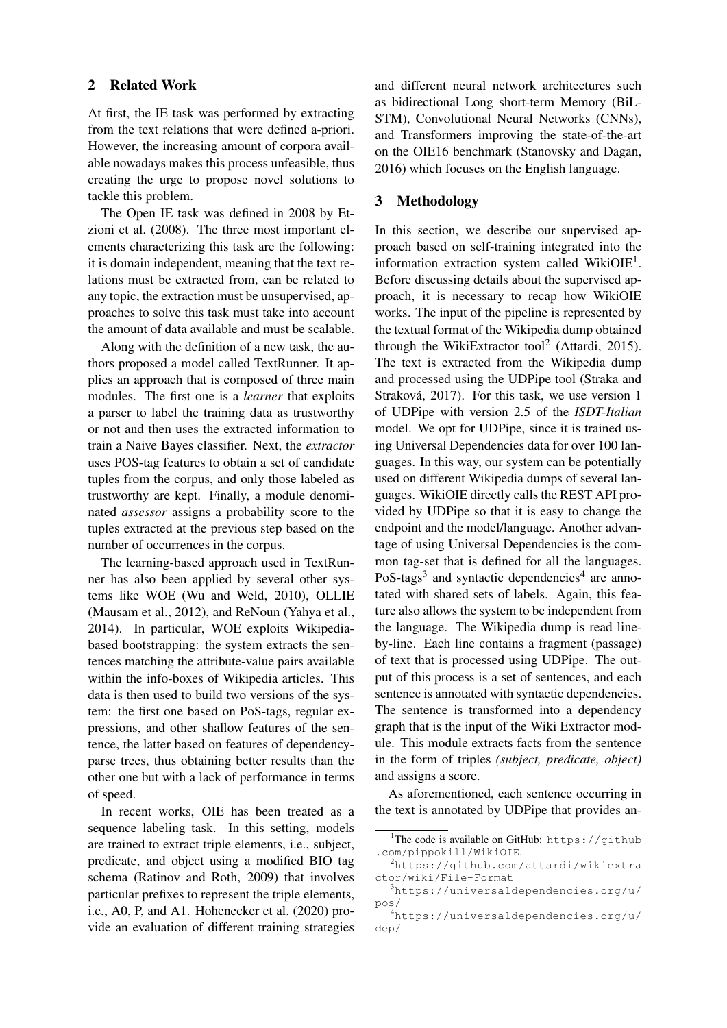### 2 Related Work

At first, the IE task was performed by extracting from the text relations that were defined a-priori. However, the increasing amount of corpora available nowadays makes this process unfeasible, thus creating the urge to propose novel solutions to tackle this problem.

The Open IE task was defined in 2008 by Etzioni et al. (2008). The three most important elements characterizing this task are the following: it is domain independent, meaning that the text relations must be extracted from, can be related to any topic, the extraction must be unsupervised, approaches to solve this task must take into account the amount of data available and must be scalable.

Along with the definition of a new task, the authors proposed a model called TextRunner. It applies an approach that is composed of three main modules. The first one is a *learner* that exploits a parser to label the training data as trustworthy or not and then uses the extracted information to train a Naive Bayes classifier. Next, the *extractor* uses POS-tag features to obtain a set of candidate tuples from the corpus, and only those labeled as trustworthy are kept. Finally, a module denominated *assessor* assigns a probability score to the tuples extracted at the previous step based on the number of occurrences in the corpus.

The learning-based approach used in TextRunner has also been applied by several other systems like WOE (Wu and Weld, 2010), OLLIE (Mausam et al., 2012), and ReNoun (Yahya et al., 2014). In particular, WOE exploits Wikipediabased bootstrapping: the system extracts the sentences matching the attribute-value pairs available within the info-boxes of Wikipedia articles. This data is then used to build two versions of the system: the first one based on PoS-tags, regular expressions, and other shallow features of the sentence, the latter based on features of dependencyparse trees, thus obtaining better results than the other one but with a lack of performance in terms of speed.

In recent works, OIE has been treated as a sequence labeling task. In this setting, models are trained to extract triple elements, i.e., subject, predicate, and object using a modified BIO tag schema (Ratinov and Roth, 2009) that involves particular prefixes to represent the triple elements, i.e., A0, P, and A1. Hohenecker et al. (2020) provide an evaluation of different training strategies and different neural network architectures such as bidirectional Long short-term Memory (BiL-STM), Convolutional Neural Networks (CNNs), and Transformers improving the state-of-the-art on the OIE16 benchmark (Stanovsky and Dagan, 2016) which focuses on the English language.

## 3 Methodology

In this section, we describe our supervised approach based on self-training integrated into the information extraction system called WikiOIE<sup>1</sup>. Before discussing details about the supervised approach, it is necessary to recap how WikiOIE works. The input of the pipeline is represented by the textual format of the Wikipedia dump obtained through the WikiExtractor tool<sup>2</sup> (Attardi, 2015). The text is extracted from the Wikipedia dump and processed using the UDPipe tool (Straka and Straková, 2017). For this task, we use version 1 of UDPipe with version 2.5 of the *ISDT-Italian* model. We opt for UDPipe, since it is trained using Universal Dependencies data for over 100 languages. In this way, our system can be potentially used on different Wikipedia dumps of several languages. WikiOIE directly calls the REST API provided by UDPipe so that it is easy to change the endpoint and the model/language. Another advantage of using Universal Dependencies is the common tag-set that is defined for all the languages. PoS-tags<sup>3</sup> and syntactic dependencies<sup>4</sup> are annotated with shared sets of labels. Again, this feature also allows the system to be independent from the language. The Wikipedia dump is read lineby-line. Each line contains a fragment (passage) of text that is processed using UDPipe. The output of this process is a set of sentences, and each sentence is annotated with syntactic dependencies. The sentence is transformed into a dependency graph that is the input of the Wiki Extractor module. This module extracts facts from the sentence in the form of triples *(subject, predicate, object)* and assigns a score.

As aforementioned, each sentence occurring in the text is annotated by UDPipe that provides an-

<sup>&</sup>lt;sup>1</sup>The code is available on GitHub: https://github .com/pippokill/WikiOIE.

<sup>2</sup>https://github.com/attardi/wikiextra ctor/wiki/File-Format

<sup>3</sup>https://universaldependencies.org/u/ pos/

<sup>4</sup>https://universaldependencies.org/u/ dep/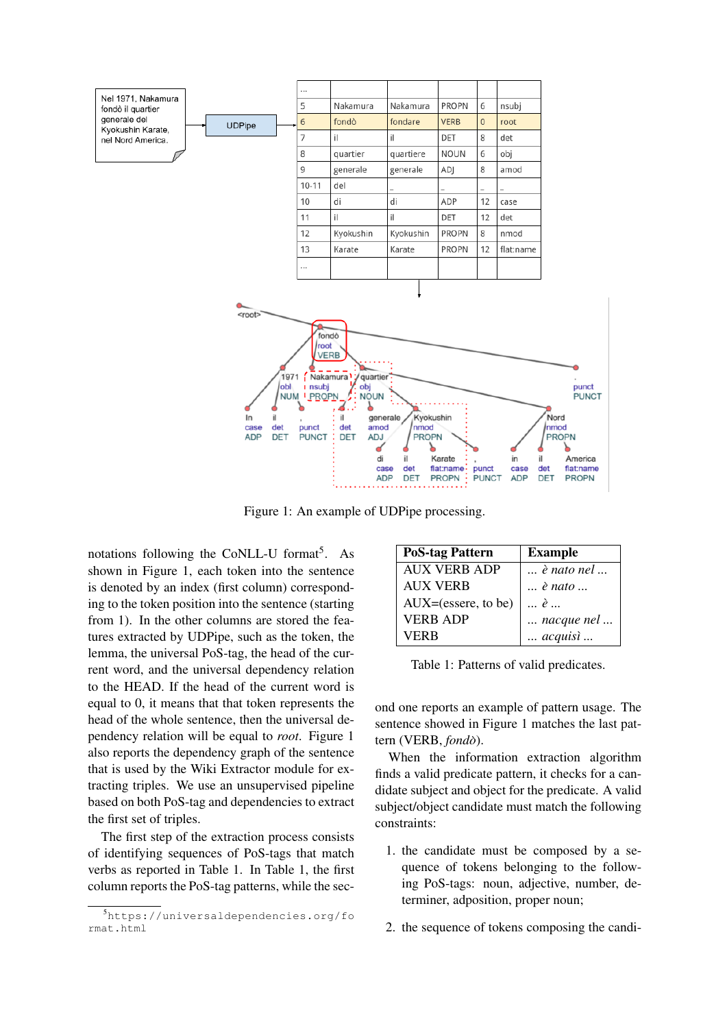



Figure 1: An example of UDPipe processing.

notations following the CoNLL-U format<sup>5</sup>. As shown in Figure 1, each token into the sentence is denoted by an index (first column) corresponding to the token position into the sentence (starting from 1). In the other columns are stored the features extracted by UDPipe, such as the token, the lemma, the universal PoS-tag, the head of the current word, and the universal dependency relation to the HEAD. If the head of the current word is equal to 0, it means that that token represents the head of the whole sentence, then the universal dependency relation will be equal to *root*. Figure 1 also reports the dependency graph of the sentence that is used by the Wiki Extractor module for extracting triples. We use an unsupervised pipeline based on both PoS-tag and dependencies to extract the first set of triples.

The first step of the extraction process consists of identifying sequences of PoS-tags that match verbs as reported in Table 1. In Table 1, the first column reports the PoS-tag patterns, while the sec-

| <b>PoS-tag Pattern</b>  | <b>Example</b>               |
|-------------------------|------------------------------|
| <b>AUX VERB ADP</b>     | $\ldots$ è nato nel $\ldots$ |
| <b>AUX VERB</b>         | $\ldots$ è nato $\ldots$     |
| $AUX = (essere, to be)$ | $ \; \hat{e} \; $            |
| <b>VERB ADP</b>         | $\ldots$ nacque nel $\ldots$ |
| VERR                    | $\ldots$ acquisì $\ldots$    |

Table 1: Patterns of valid predicates.

ond one reports an example of pattern usage. The sentence showed in Figure 1 matches the last pattern (VERB, *fondo`*).

When the information extraction algorithm finds a valid predicate pattern, it checks for a candidate subject and object for the predicate. A valid subject/object candidate must match the following constraints:

- 1. the candidate must be composed by a sequence of tokens belonging to the following PoS-tags: noun, adjective, number, determiner, adposition, proper noun;
- 2. the sequence of tokens composing the candi-

<sup>5</sup>https://universaldependencies.org/fo rmat.html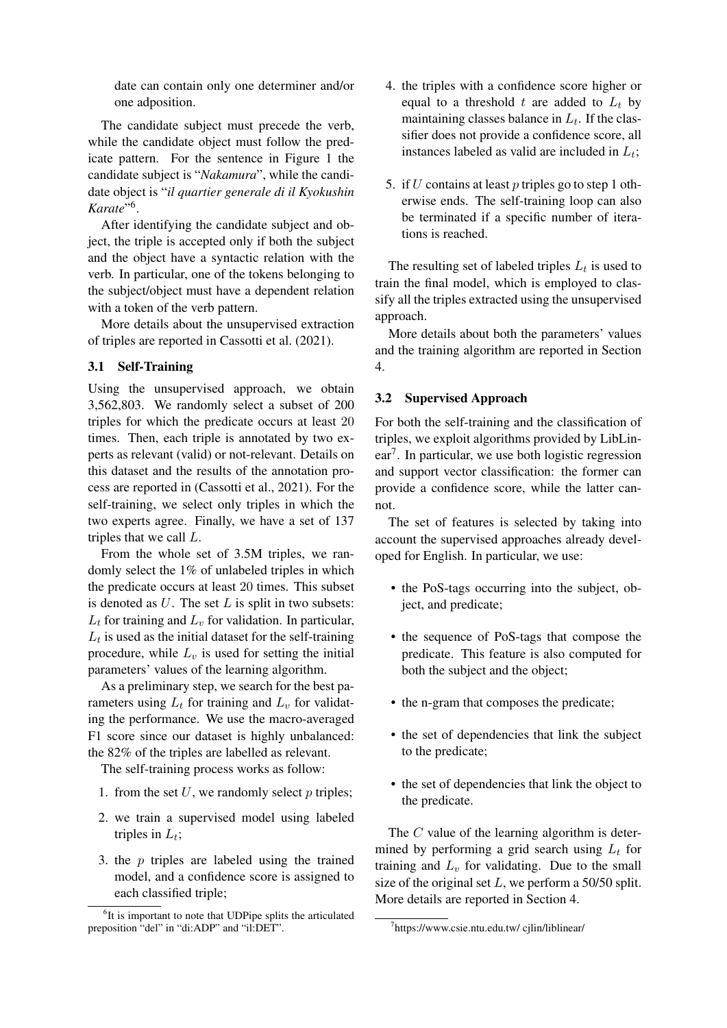date can contain only one determiner and/or one adposition.

The candidate subject must precede the verb, while the candidate object must follow the predicate pattern. For the sentence in Figure 1 the candidate subject is "*Nakamura*", while the candidate object is "*il quartier generale di il Kyokushin Karate*" 6 .

After identifying the candidate subject and object, the triple is accepted only if both the subject and the object have a syntactic relation with the verb. In particular, one of the tokens belonging to the subject/object must have a dependent relation with a token of the verb pattern.

More details about the unsupervised extraction of triples are reported in Cassotti et al. (2021).

# 3.1 Self-Training

Using the unsupervised approach, we obtain 3,562,803. We randomly select a subset of 200 triples for which the predicate occurs at least 20 times. Then, each triple is annotated by two experts as relevant (valid) or not-relevant. Details on this dataset and the results of the annotation process are reported in (Cassotti et al., 2021). For the self-training, we select only triples in which the two experts agree. Finally, we have a set of 137 triples that we call L.

From the whole set of 3.5M triples, we randomly select the 1% of unlabeled triples in which the predicate occurs at least 20 times. This subset is denoted as  $U$ . The set  $L$  is split in two subsets:  $L_t$  for training and  $L_v$  for validation. In particular,  $L_t$  is used as the initial dataset for the self-training procedure, while  $L<sub>v</sub>$  is used for setting the initial parameters' values of the learning algorithm.

As a preliminary step, we search for the best parameters using  $L_t$  for training and  $L_v$  for validating the performance. We use the macro-averaged F1 score since our dataset is highly unbalanced: the 82% of the triples are labelled as relevant.

The self-training process works as follow:

- 1. from the set  $U$ , we randomly select  $p$  triples;
- 2. we train a supervised model using labeled triples in  $L_t$ ;
- 3. the p triples are labeled using the trained model, and a confidence score is assigned to each classified triple;
- 4. the triples with a confidence score higher or equal to a threshold t are added to  $L_t$  by maintaining classes balance in  $L_t$ . If the classifier does not provide a confidence score, all instances labeled as valid are included in  $L_t$ ;
- 5. if U contains at least p triples go to step 1 otherwise ends. The self-training loop can also be terminated if a specific number of iterations is reached.

The resulting set of labeled triples  $L_t$  is used to train the final model, which is employed to classify all the triples extracted using the unsupervised approach.

More details about both the parameters' values and the training algorithm are reported in Section 4.

#### 3.2 Supervised Approach

For both the self-training and the classification of triples, we exploit algorithms provided by LibLinear<sup>7</sup> . In particular, we use both logistic regression and support vector classification: the former can provide a confidence score, while the latter cannot.

The set of features is selected by taking into account the supervised approaches already developed for English. In particular, we use:

- the PoS-tags occurring into the subject, object, and predicate;
- the sequence of PoS-tags that compose the predicate. This feature is also computed for both the subject and the object;
- the n-gram that composes the predicate;
- the set of dependencies that link the subject to the predicate;
- the set of dependencies that link the object to the predicate.

The C value of the learning algorithm is determined by performing a grid search using  $L_t$  for training and  $L<sub>v</sub>$  for validating. Due to the small size of the original set  $L$ , we perform a 50/50 split. More details are reported in Section 4.

<sup>&</sup>lt;sup>6</sup>It is important to note that UDPipe splits the articulated preposition "del" in "di:ADP" and "il:DET".

<sup>7</sup> https://www.csie.ntu.edu.tw/ cjlin/liblinear/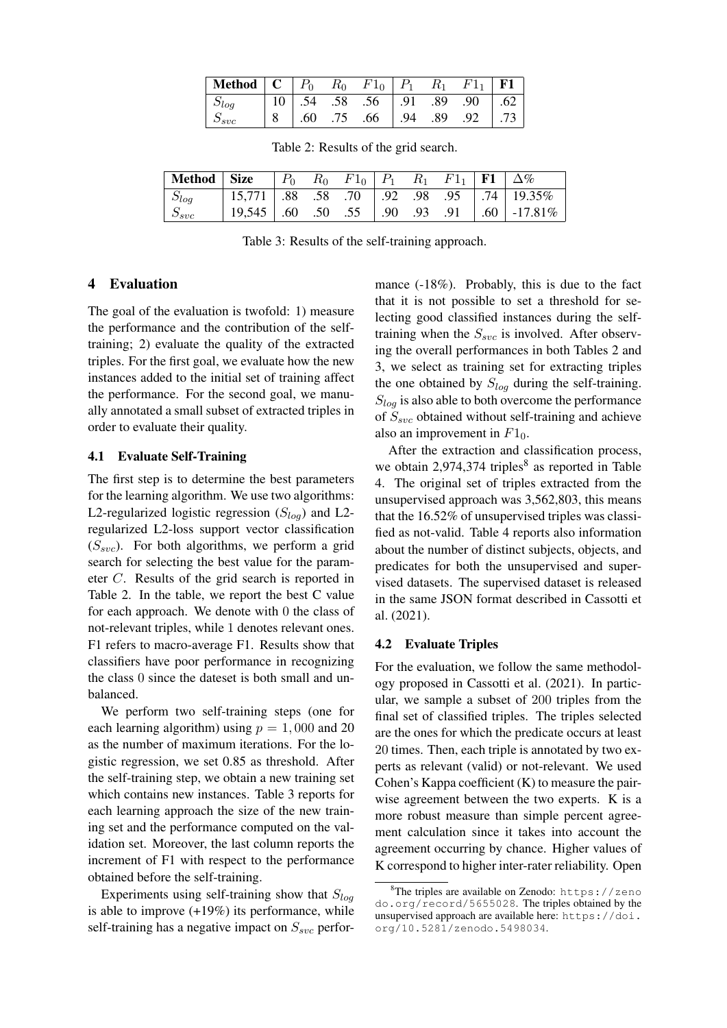| $S_{svc}$ |  | $\begin{vmatrix} 8 & .60 & .75 & .66 \end{vmatrix}$ 94 .89 .92 .73 |  |  |
|-----------|--|--------------------------------------------------------------------|--|--|

Table 2: Results of the grid search.

| Method   Size   $P_0$ $R_0$ $F1_0$   $P_1$ $R_1$ $F1_1$   $F1$   $\Delta\%$ |                                                   |  |  |  |                                                           |
|-----------------------------------------------------------------------------|---------------------------------------------------|--|--|--|-----------------------------------------------------------|
| $S_{log}$                                                                   | 15,771   .88 .58 .70   .92 .98 .95   .74   19.35% |  |  |  |                                                           |
| $S_{svc}$                                                                   |                                                   |  |  |  | $\mid$ 19,545   .60 .50 .55   .90 .93 .91   .60   -17.81% |

Table 3: Results of the self-training approach.

### 4 Evaluation

The goal of the evaluation is twofold: 1) measure the performance and the contribution of the selftraining; 2) evaluate the quality of the extracted triples. For the first goal, we evaluate how the new instances added to the initial set of training affect the performance. For the second goal, we manually annotated a small subset of extracted triples in order to evaluate their quality.

#### 4.1 Evaluate Self-Training

The first step is to determine the best parameters for the learning algorithm. We use two algorithms: L2-regularized logistic regression  $(S_{log})$  and L2regularized L2-loss support vector classification  $(S<sub>src</sub>)$ . For both algorithms, we perform a grid search for selecting the best value for the parameter C. Results of the grid search is reported in Table 2. In the table, we report the best C value for each approach. We denote with 0 the class of not-relevant triples, while 1 denotes relevant ones. F1 refers to macro-average F1. Results show that classifiers have poor performance in recognizing the class 0 since the dateset is both small and unbalanced.

We perform two self-training steps (one for each learning algorithm) using  $p = 1,000$  and 20 as the number of maximum iterations. For the logistic regression, we set 0.85 as threshold. After the self-training step, we obtain a new training set which contains new instances. Table 3 reports for each learning approach the size of the new training set and the performance computed on the validation set. Moreover, the last column reports the increment of F1 with respect to the performance obtained before the self-training.

Experiments using self-training show that  $S_{log}$ is able to improve (+19%) its performance, while self-training has a negative impact on  $S_{\text{syc}}$  performance (-18%). Probably, this is due to the fact that it is not possible to set a threshold for selecting good classified instances during the selftraining when the  $S_{svc}$  is involved. After observing the overall performances in both Tables 2 and 3, we select as training set for extracting triples the one obtained by  $S_{log}$  during the self-training.  $S<sub>log</sub>$  is also able to both overcome the performance of  $S_{svc}$  obtained without self-training and achieve also an improvement in  $F1_0$ .

After the extraction and classification process, we obtain 2,974,374 triples $8$  as reported in Table 4. The original set of triples extracted from the unsupervised approach was 3,562,803, this means that the 16.52% of unsupervised triples was classified as not-valid. Table 4 reports also information about the number of distinct subjects, objects, and predicates for both the unsupervised and supervised datasets. The supervised dataset is released in the same JSON format described in Cassotti et al. (2021).

#### 4.2 Evaluate Triples

For the evaluation, we follow the same methodology proposed in Cassotti et al. (2021). In particular, we sample a subset of 200 triples from the final set of classified triples. The triples selected are the ones for which the predicate occurs at least 20 times. Then, each triple is annotated by two experts as relevant (valid) or not-relevant. We used Cohen's Kappa coefficient (K) to measure the pairwise agreement between the two experts. K is a more robust measure than simple percent agreement calculation since it takes into account the agreement occurring by chance. Higher values of K correspond to higher inter-rater reliability. Open

<sup>&</sup>lt;sup>8</sup>The triples are available on Zenodo: https://zeno do.org/record/5655028. The triples obtained by the unsupervised approach are available here: https://doi. org/10.5281/zenodo.5498034.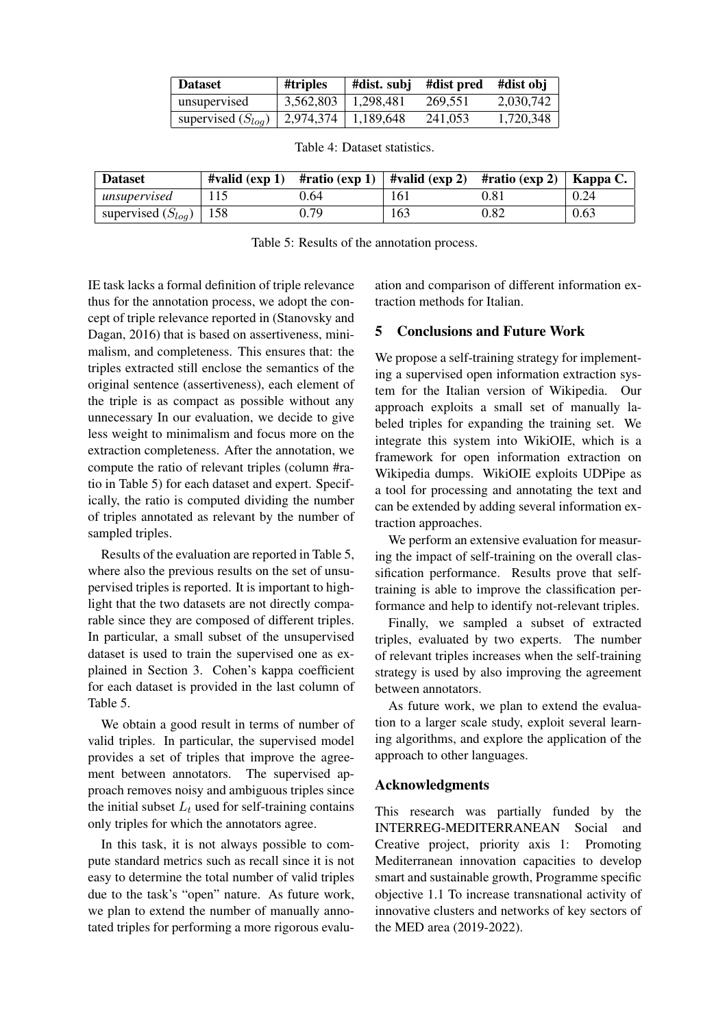| <b>Dataset</b>         | #triples                | #dist. subj | #dist pred | #dist obj |
|------------------------|-------------------------|-------------|------------|-----------|
| unsupervised           | 3,562,803               | 1.298.481   | 269.551    | 2,030,742 |
| supervised $(S_{log})$ | $2,974,374$   1,189,648 |             | 241,053    | 1,720,348 |

| Dataset                      |     |      | #valid (exp 1) #ratio (exp 1)   #valid (exp 2) #ratio (exp 2)   Kappa C. |      |      |
|------------------------------|-----|------|--------------------------------------------------------------------------|------|------|
| unsupervised                 | 115 | 0.64 | 161                                                                      | 0.81 | 0.24 |
| supervised $(S_{log})$   158 |     | 0.79 | 163                                                                      | 0.82 | 0.63 |

Table 4: Dataset statistics.

Table 5: Results of the annotation process.

IE task lacks a formal definition of triple relevance thus for the annotation process, we adopt the concept of triple relevance reported in (Stanovsky and Dagan, 2016) that is based on assertiveness, minimalism, and completeness. This ensures that: the triples extracted still enclose the semantics of the original sentence (assertiveness), each element of the triple is as compact as possible without any unnecessary In our evaluation, we decide to give less weight to minimalism and focus more on the extraction completeness. After the annotation, we compute the ratio of relevant triples (column #ratio in Table 5) for each dataset and expert. Specifically, the ratio is computed dividing the number of triples annotated as relevant by the number of sampled triples.

Results of the evaluation are reported in Table 5, where also the previous results on the set of unsupervised triples is reported. It is important to highlight that the two datasets are not directly comparable since they are composed of different triples. In particular, a small subset of the unsupervised dataset is used to train the supervised one as explained in Section 3. Cohen's kappa coefficient for each dataset is provided in the last column of Table 5.

We obtain a good result in terms of number of valid triples. In particular, the supervised model provides a set of triples that improve the agreement between annotators. The supervised approach removes noisy and ambiguous triples since the initial subset  $L_t$  used for self-training contains only triples for which the annotators agree.

In this task, it is not always possible to compute standard metrics such as recall since it is not easy to determine the total number of valid triples due to the task's "open" nature. As future work, we plan to extend the number of manually annotated triples for performing a more rigorous evaluation and comparison of different information extraction methods for Italian.

# 5 Conclusions and Future Work

We propose a self-training strategy for implementing a supervised open information extraction system for the Italian version of Wikipedia. Our approach exploits a small set of manually labeled triples for expanding the training set. We integrate this system into WikiOIE, which is a framework for open information extraction on Wikipedia dumps. WikiOIE exploits UDPipe as a tool for processing and annotating the text and can be extended by adding several information extraction approaches.

We perform an extensive evaluation for measuring the impact of self-training on the overall classification performance. Results prove that selftraining is able to improve the classification performance and help to identify not-relevant triples.

Finally, we sampled a subset of extracted triples, evaluated by two experts. The number of relevant triples increases when the self-training strategy is used by also improving the agreement between annotators.

As future work, we plan to extend the evaluation to a larger scale study, exploit several learning algorithms, and explore the application of the approach to other languages.

# Acknowledgments

This research was partially funded by the INTERREG-MEDITERRANEAN Social and Creative project, priority axis 1: Promoting Mediterranean innovation capacities to develop smart and sustainable growth, Programme specific objective 1.1 To increase transnational activity of innovative clusters and networks of key sectors of the MED area (2019-2022).